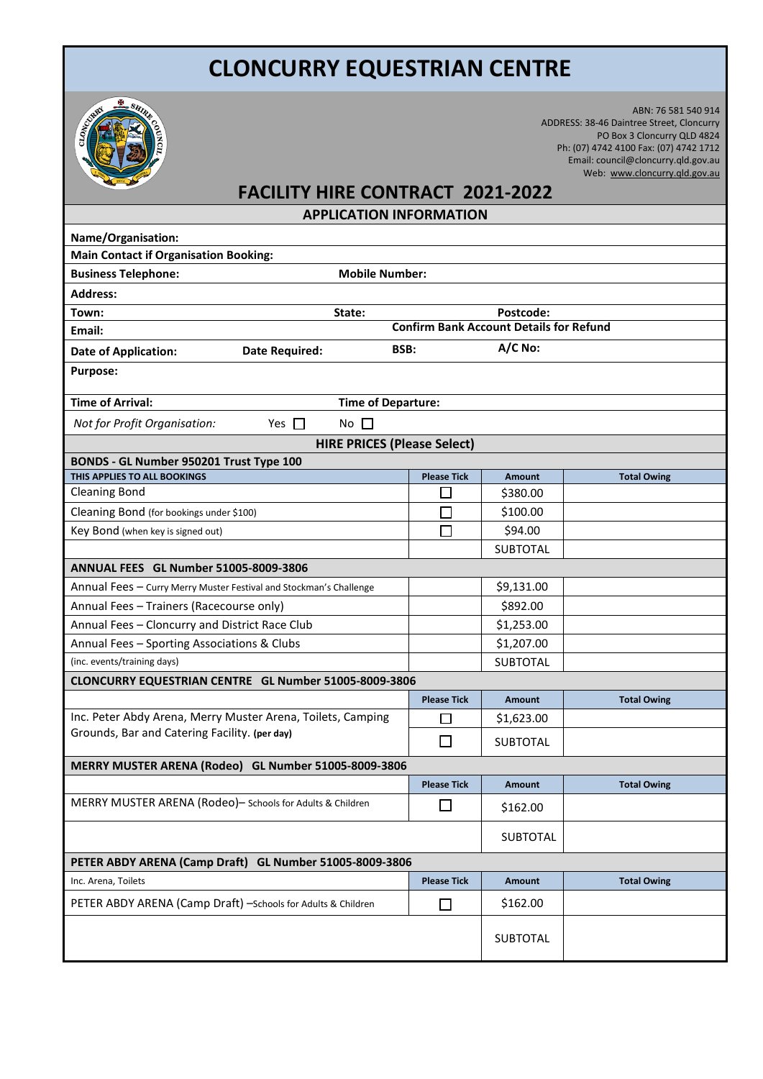## **CLONCURRY EQUESTRIAN CENTRE**



ABN: 76 581 540 914 ADDRESS: 38-46 Daintree Street, Cloncurry PO Box 3 Cloncurry QLD 4824 Ph: (07) 4742 4100 Fax: (07) 4742 1712 Email: council@cloncurry.qld.gov.au Web: [www.cloncurry.qld.gov.au](http://www.cloncurry.qld.gov.au/)

## **FACILITY HIRE CONTRACT 2021-2022**

**APPLICATION INFORMATION**

| Name/Organisation:                                                 |                                                |                 |                    |  |  |  |  |  |
|--------------------------------------------------------------------|------------------------------------------------|-----------------|--------------------|--|--|--|--|--|
| <b>Main Contact if Organisation Booking:</b>                       |                                                |                 |                    |  |  |  |  |  |
| <b>Business Telephone:</b><br><b>Mobile Number:</b>                |                                                |                 |                    |  |  |  |  |  |
| <b>Address:</b>                                                    |                                                |                 |                    |  |  |  |  |  |
| Town:<br>State:                                                    |                                                | Postcode:       |                    |  |  |  |  |  |
| Email:                                                             | <b>Confirm Bank Account Details for Refund</b> |                 |                    |  |  |  |  |  |
| <b>Date of Application:</b><br><b>Date Required:</b>               | A/C No:<br>BSB:                                |                 |                    |  |  |  |  |  |
| <b>Purpose:</b>                                                    |                                                |                 |                    |  |  |  |  |  |
| <b>Time of Arrival:</b>                                            | <b>Time of Departure:</b>                      |                 |                    |  |  |  |  |  |
| Not for Profit Organisation:<br>Yes $\Box$<br>No $\square$         |                                                |                 |                    |  |  |  |  |  |
| <b>HIRE PRICES (Please Select)</b>                                 |                                                |                 |                    |  |  |  |  |  |
| BONDS - GL Number 950201 Trust Type 100                            |                                                |                 |                    |  |  |  |  |  |
| THIS APPLIES TO ALL BOOKINGS                                       | <b>Please Tick</b>                             | <b>Amount</b>   | <b>Total Owing</b> |  |  |  |  |  |
| <b>Cleaning Bond</b>                                               |                                                | \$380.00        |                    |  |  |  |  |  |
| Cleaning Bond (for bookings under \$100)                           |                                                | \$100.00        |                    |  |  |  |  |  |
| Key Bond (when key is signed out)                                  | П                                              | \$94.00         |                    |  |  |  |  |  |
|                                                                    |                                                | <b>SUBTOTAL</b> |                    |  |  |  |  |  |
| <b>ANNUAL FEES GL Number 51005-8009-3806</b>                       |                                                |                 |                    |  |  |  |  |  |
| Annual Fees - Curry Merry Muster Festival and Stockman's Challenge |                                                | \$9,131.00      |                    |  |  |  |  |  |
| Annual Fees - Trainers (Racecourse only)                           |                                                | \$892.00        |                    |  |  |  |  |  |
| Annual Fees - Cloncurry and District Race Club                     |                                                | \$1,253.00      |                    |  |  |  |  |  |
| Annual Fees - Sporting Associations & Clubs                        |                                                | \$1,207.00      |                    |  |  |  |  |  |
| (inc. events/training days)                                        |                                                | <b>SUBTOTAL</b> |                    |  |  |  |  |  |
| CLONCURRY EQUESTRIAN CENTRE GL Number 51005-8009-3806              |                                                |                 |                    |  |  |  |  |  |
|                                                                    | <b>Please Tick</b>                             | <b>Amount</b>   | <b>Total Owing</b> |  |  |  |  |  |
| Inc. Peter Abdy Arena, Merry Muster Arena, Toilets, Camping        | □                                              | \$1,623.00      |                    |  |  |  |  |  |
| Grounds, Bar and Catering Facility. (per day)                      | □                                              | <b>SUBTOTAL</b> |                    |  |  |  |  |  |
| MERRY MUSTER ARENA (Rodeo) GL Number 51005-8009-3806               |                                                |                 |                    |  |  |  |  |  |
|                                                                    | <b>Please Tick</b>                             | <b>Amount</b>   | <b>Total Owing</b> |  |  |  |  |  |
| MERRY MUSTER ARENA (Rodeo)- Schools for Adults & Children          |                                                | \$162.00        |                    |  |  |  |  |  |
|                                                                    |                                                | <b>SUBTOTAL</b> |                    |  |  |  |  |  |
| PETER ABDY ARENA (Camp Draft) GL Number 51005-8009-3806            |                                                |                 |                    |  |  |  |  |  |
| Inc. Arena, Toilets                                                | <b>Please Tick</b>                             | <b>Amount</b>   | <b>Total Owing</b> |  |  |  |  |  |
| PETER ABDY ARENA (Camp Draft) -Schools for Adults & Children       | $\Box$                                         | \$162.00        |                    |  |  |  |  |  |
|                                                                    |                                                | SUBTOTAL        |                    |  |  |  |  |  |